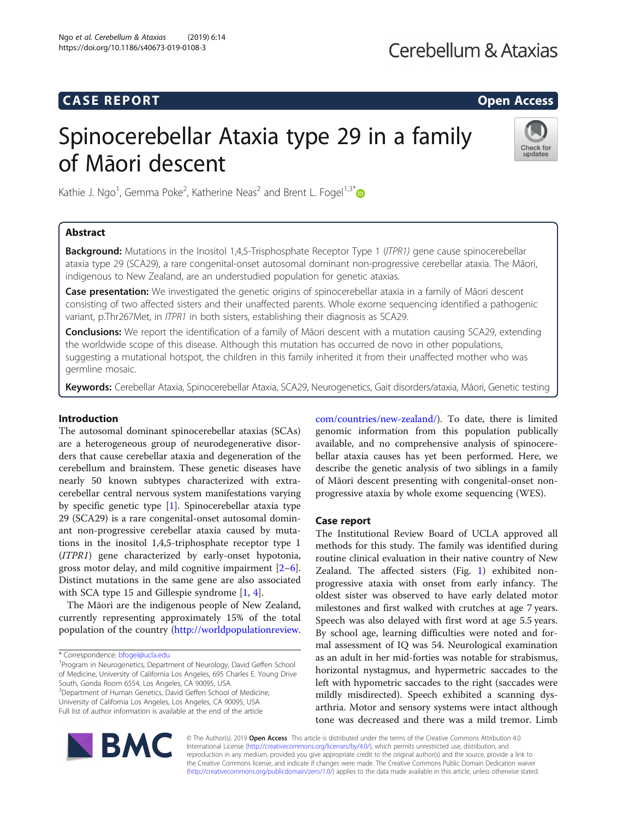## **CASE REPORT And SERVICE SERVICE SERVICE SERVICE SERVICE SERVICE SERVICE SERVICE SERVICE SERVICE SERVICE SERVICE**

# Spinocerebellar Ataxia type 29 in a family of Māori descent



Kathie J. Ngo<sup>1</sup>, Gemma Poke<sup>2</sup>, Katherine Neas<sup>2</sup> and Brent L. Fogel<sup>1,3\*</sup>

### Abstract

**Background:** Mutations in the Inositol 1,4,5-Trisphosphate Receptor Type 1 (ITPR1) gene cause spinocerebellar ataxia type 29 (SCA29), a rare congenital-onset autosomal dominant non-progressive cerebellar ataxia. The Māori, indigenous to New Zealand, are an understudied population for genetic ataxias.

Case presentation: We investigated the genetic origins of spinocerebellar ataxia in a family of Māori descent consisting of two affected sisters and their unaffected parents. Whole exome sequencing identified a pathogenic variant, p.Thr267Met, in ITPR1 in both sisters, establishing their diagnosis as SCA29.

**Conclusions:** We report the identification of a family of Māori descent with a mutation causing SCA29, extending the worldwide scope of this disease. Although this mutation has occurred de novo in other populations, suggesting a mutational hotspot, the children in this family inherited it from their unaffected mother who was germline mosaic.

Keywords: Cerebellar Ataxia, Spinocerebellar Ataxia, SCA29, Neurogenetics, Gait disorders/ataxia, Māori, Genetic testing

#### Introduction

The autosomal dominant spinocerebellar ataxias (SCAs) are a heterogeneous group of neurodegenerative disorders that cause cerebellar ataxia and degeneration of the cerebellum and brainstem. These genetic diseases have nearly 50 known subtypes characterized with extracerebellar central nervous system manifestations varying by specific genetic type [\[1](#page-2-0)]. Spinocerebellar ataxia type 29 (SCA29) is a rare congenital-onset autosomal dominant non-progressive cerebellar ataxia caused by mutations in the inositol 1,4,5-triphosphate receptor type 1 (ITPR1) gene characterized by early-onset hypotonia, gross motor delay, and mild cognitive impairment [\[2](#page-2-0)–[6](#page-2-0)]. Distinct mutations in the same gene are also associated with SCA type 15 and Gillespie syndrome [\[1](#page-2-0), [4](#page-2-0)].

The Māori are the indigenous people of New Zealand, currently representing approximately 15% of the total population of the country [\(http://worldpopulationreview.](http://worldpopulationreview.com/countries/new-zealand/)

\* Correspondence: [bfogel@ucla.edu](mailto:bfogel@ucla.edu) <sup>1</sup>

<sup>1</sup> Program in Neurogenetics, Department of Neurology, David Geffen School of Medicine, University of California Los Angeles, 695 Charles E. Young Drive South, Gonda Room 6554, Los Angeles, CA 90095, USA

<sup>3</sup>Department of Human Genetics, David Geffen School of Medicine, University of California Los Angeles, Los Angeles, CA 90095, USA Full list of author information is available at the end of the article

[com/countries/new-zealand/\)](http://worldpopulationreview.com/countries/new-zealand/). To date, there is limited genomic information from this population publically available, and no comprehensive analysis of spinocerebellar ataxia causes has yet been performed. Here, we describe the genetic analysis of two siblings in a family of Māori descent presenting with congenital-onset nonprogressive ataxia by whole exome sequencing (WES).

#### Case report

The Institutional Review Board of UCLA approved all methods for this study. The family was identified during routine clinical evaluation in their native country of New Zealand. The affected sisters (Fig. [1\)](#page-1-0) exhibited nonprogressive ataxia with onset from early infancy. The oldest sister was observed to have early delated motor milestones and first walked with crutches at age 7 years. Speech was also delayed with first word at age 5.5 years. By school age, learning difficulties were noted and formal assessment of IQ was 54. Neurological examination as an adult in her mid-forties was notable for strabismus, horizontal nystagmus, and hypermetric saccades to the left with hypometric saccades to the right (saccades were mildly misdirected). Speech exhibited a scanning dysarthria. Motor and sensory systems were intact although tone was decreased and there was a mild tremor. Limb



© The Author(s). 2019 Open Access This article is distributed under the terms of the Creative Commons Attribution 4.0 International License [\(http://creativecommons.org/licenses/by/4.0/](http://creativecommons.org/licenses/by/4.0/)), which permits unrestricted use, distribution, and reproduction in any medium, provided you give appropriate credit to the original author(s) and the source, provide a link to the Creative Commons license, and indicate if changes were made. The Creative Commons Public Domain Dedication waiver [\(http://creativecommons.org/publicdomain/zero/1.0/](http://creativecommons.org/publicdomain/zero/1.0/)) applies to the data made available in this article, unless otherwise stated.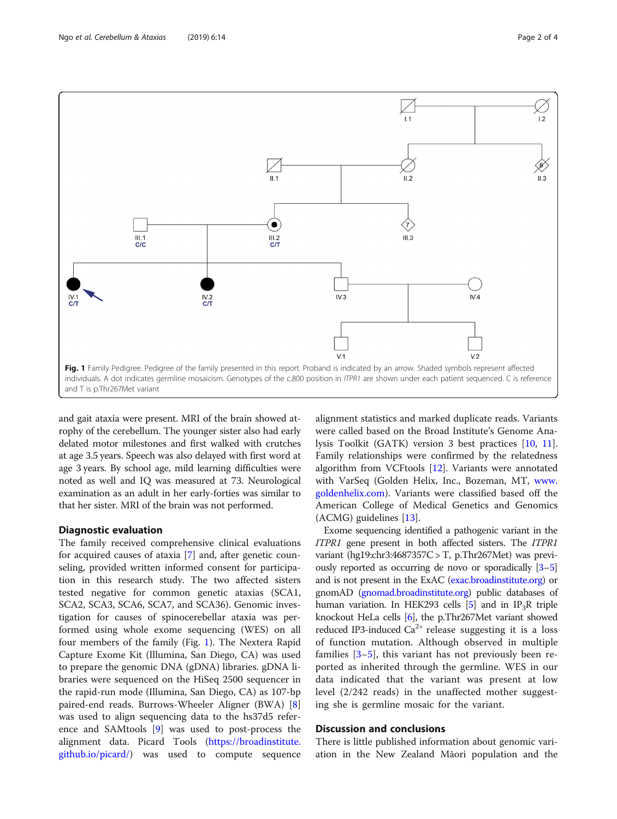<span id="page-1-0"></span>

and gait ataxia were present. MRI of the brain showed atrophy of the cerebellum. The younger sister also had early delated motor milestones and first walked with crutches at age 3.5 years. Speech was also delayed with first word at age 3 years. By school age, mild learning difficulties were noted as well and IQ was measured at 73. Neurological examination as an adult in her early-forties was similar to that her sister. MRI of the brain was not performed.

#### Diagnostic evaluation

The family received comprehensive clinical evaluations for acquired causes of ataxia [[7\]](#page-2-0) and, after genetic counseling, provided written informed consent for participation in this research study. The two affected sisters tested negative for common genetic ataxias (SCA1, SCA2, SCA3, SCA6, SCA7, and SCA36). Genomic investigation for causes of spinocerebellar ataxia was performed using whole exome sequencing (WES) on all four members of the family (Fig. 1). The Nextera Rapid Capture Exome Kit (Illumina, San Diego, CA) was used to prepare the genomic DNA (gDNA) libraries. gDNA libraries were sequenced on the HiSeq 2500 sequencer in the rapid-run mode (Illumina, San Diego, CA) as 107-bp paired-end reads. Burrows-Wheeler Aligner (BWA) [\[8](#page-2-0)] was used to align sequencing data to the hs37d5 reference and SAMtools [\[9\]](#page-2-0) was used to post-process the alignment data. Picard Tools [\(https://broadinstitute.](https://broadinstitute.github.io/picard/) [github.io/picard/](https://broadinstitute.github.io/picard/)) was used to compute sequence

alignment statistics and marked duplicate reads. Variants were called based on the Broad Institute's Genome Analysis Toolkit (GATK) version 3 best practices [[10,](#page-2-0) [11](#page-2-0)]. Family relationships were confirmed by the relatedness algorithm from VCFtools [\[12](#page-3-0)]. Variants were annotated with VarSeq (Golden Helix, Inc., Bozeman, MT, [www.](http://www.goldenhelix.com) [goldenhelix.com\)](http://www.goldenhelix.com). Variants were classified based off the American College of Medical Genetics and Genomics (ACMG) guidelines [[13\]](#page-3-0).

Exome sequencing identified a pathogenic variant in the ITPR1 gene present in both affected sisters. The ITPR1 variant (hg19:chr3:4687357C > T, p.Thr267Met) was previously reported as occurring de novo or sporadically [\[3](#page-2-0)–[5](#page-2-0)] and is not present in the ExAC [\(exac.broadinstitute.org\)](http://exac.broadinstitute.org) or gnomAD [\(gnomad.broadinstitute.org](http://gnomad.broadinstitute.org)) public databases of human variation. In HEK293 cells  $[5]$  $[5]$  and in IP<sub>3</sub>R triple knockout HeLa cells [\[6](#page-2-0)], the p.Thr267Met variant showed reduced IP3-induced  $Ca^{2+}$  release suggesting it is a loss of function mutation. Although observed in multiple families [[3](#page-2-0)–[5\]](#page-2-0), this variant has not previously been reported as inherited through the germline. WES in our data indicated that the variant was present at low level (2/242 reads) in the unaffected mother suggesting she is germline mosaic for the variant.

#### Discussion and conclusions

There is little published information about genomic variation in the New Zealand Māori population and the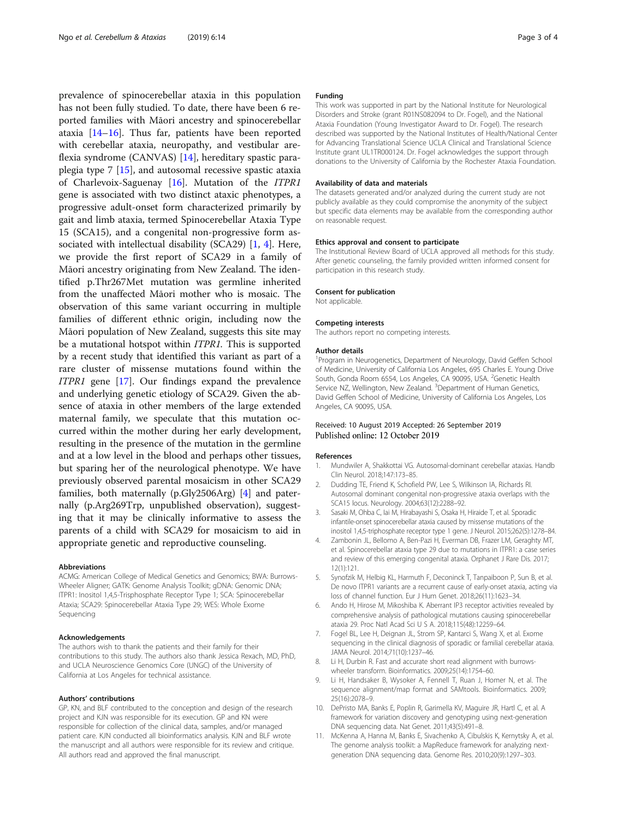<span id="page-2-0"></span>prevalence of spinocerebellar ataxia in this population has not been fully studied. To date, there have been 6 reported families with Māori ancestry and spinocerebellar ataxia [[14](#page-3-0)–[16](#page-3-0)]. Thus far, patients have been reported with cerebellar ataxia, neuropathy, and vestibular areflexia syndrome (CANVAS) [[14\]](#page-3-0), hereditary spastic paraplegia type 7 [\[15](#page-3-0)], and autosomal recessive spastic ataxia of Charlevoix-Saguenay [[16\]](#page-3-0). Mutation of the ITPR1 gene is associated with two distinct ataxic phenotypes, a progressive adult-onset form characterized primarily by gait and limb ataxia, termed Spinocerebellar Ataxia Type 15 (SCA15), and a congenital non-progressive form associated with intellectual disability (SCA29) [1, 4]. Here, we provide the first report of SCA29 in a family of Māori ancestry originating from New Zealand. The identified p.Thr267Met mutation was germline inherited from the unaffected Māori mother who is mosaic. The observation of this same variant occurring in multiple families of different ethnic origin, including now the Māori population of New Zealand, suggests this site may be a mutational hotspot within ITPR1. This is supported by a recent study that identified this variant as part of a rare cluster of missense mutations found within the ITPR1 gene [[17\]](#page-3-0). Our findings expand the prevalence and underlying genetic etiology of SCA29. Given the absence of ataxia in other members of the large extended maternal family, we speculate that this mutation occurred within the mother during her early development, resulting in the presence of the mutation in the germline and at a low level in the blood and perhaps other tissues, but sparing her of the neurological phenotype. We have previously observed parental mosaicism in other SCA29 families, both maternally (p.Gly2506Arg) [4] and paternally (p.Arg269Trp, unpublished observation), suggesting that it may be clinically informative to assess the parents of a child with SCA29 for mosaicism to aid in appropriate genetic and reproductive counseling.

#### Abbreviations

ACMG: American College of Medical Genetics and Genomics; BWA: Burrows-Wheeler Aligner; GATK: Genome Analysis Toolkit; gDNA: Genomic DNA; ITPR1: Inositol 1,4,5-Trisphosphate Receptor Type 1; SCA: Spinocerebellar Ataxia; SCA29: Spinocerebellar Ataxia Type 29; WES: Whole Exome Sequencing

#### Acknowledgements

The authors wish to thank the patients and their family for their contributions to this study. The authors also thank Jessica Rexach, MD, PhD, and UCLA Neuroscience Genomics Core (UNGC) of the University of California at Los Angeles for technical assistance.

#### Authors' contributions

GP, KN, and BLF contributed to the conception and design of the research project and KJN was responsible for its execution. GP and KN were responsible for collection of the clinical data, samples, and/or managed patient care. KJN conducted all bioinformatics analysis. KJN and BLF wrote the manuscript and all authors were responsible for its review and critique. All authors read and approved the final manuscript.

#### Funding

This work was supported in part by the National Institute for Neurological Disorders and Stroke (grant R01NS082094 to Dr. Fogel), and the National Ataxia Foundation (Young Investigator Award to Dr. Fogel). The research described was supported by the National Institutes of Health/National Center for Advancing Translational Science UCLA Clinical and Translational Science Institute grant UL1TR000124. Dr. Fogel acknowledges the support through donations to the University of California by the Rochester Ataxia Foundation.

#### Availability of data and materials

The datasets generated and/or analyzed during the current study are not publicly available as they could compromise the anonymity of the subject but specific data elements may be available from the corresponding author on reasonable request.

#### Ethics approval and consent to participate

The Institutional Review Board of UCLA approved all methods for this study. After genetic counseling, the family provided written informed consent for participation in this research study.

#### Consent for publication

Not applicable.

#### Competing interests

The authors report no competing interests.

#### Author details

<sup>1</sup> Program in Neurogenetics, Department of Neurology, David Geffen School of Medicine, University of California Los Angeles, 695 Charles E. Young Drive South, Gonda Room 6554, Los Angeles, CA 90095, USA. <sup>2</sup>Genetic Health Service NZ, Wellington, New Zealand. <sup>3</sup>Department of Human Genetics David Geffen School of Medicine, University of California Los Angeles, Los Angeles, CA 90095, USA.

#### Received: 10 August 2019 Accepted: 26 September 2019 Published online: 12 October 2019

#### References

- 1. Mundwiler A, Shakkottai VG. Autosomal-dominant cerebellar ataxias. Handb Clin Neurol. 2018;147:173–85.
- 2. Dudding TE, Friend K, Schofield PW, Lee S, Wilkinson IA, Richards RI. Autosomal dominant congenital non-progressive ataxia overlaps with the SCA15 locus. Neurology. 2004;63(12):2288–92.
- 3. Sasaki M, Ohba C, Iai M, Hirabayashi S, Osaka H, Hiraide T, et al. Sporadic infantile-onset spinocerebellar ataxia caused by missense mutations of the inositol 1,4,5-triphosphate receptor type 1 gene. J Neurol. 2015;262(5):1278–84.
- Zambonin JL, Bellomo A, Ben-Pazi H, Everman DB, Frazer LM, Geraghty MT, et al. Spinocerebellar ataxia type 29 due to mutations in ITPR1: a case series and review of this emerging congenital ataxia. Orphanet J Rare Dis. 2017; 12(1):121.
- 5. Synofzik M, Helbig KL, Harmuth F, Deconinck T, Tanpaiboon P, Sun B, et al. De novo ITPR1 variants are a recurrent cause of early-onset ataxia, acting via loss of channel function. Eur J Hum Genet. 2018;26(11):1623–34.
- Ando H, Hirose M, Mikoshiba K. Aberrant IP3 receptor activities revealed by comprehensive analysis of pathological mutations causing spinocerebellar ataxia 29. Proc Natl Acad Sci U S A. 2018;115(48):12259–64.
- 7. Fogel BL, Lee H, Deignan JL, Strom SP, Kantarci S, Wang X, et al. Exome sequencing in the clinical diagnosis of sporadic or familial cerebellar ataxia. JAMA Neurol. 2014;71(10):1237–46.
- 8. Li H, Durbin R. Fast and accurate short read alignment with burrowswheeler transform. Bioinformatics. 2009;25(14):1754–60.
- 9. Li H, Handsaker B, Wysoker A, Fennell T, Ruan J, Homer N, et al. The sequence alignment/map format and SAMtools. Bioinformatics. 2009; 25(16):2078–9.
- 10. DePristo MA, Banks E, Poplin R, Garimella KV, Maguire JR, Hartl C, et al. A framework for variation discovery and genotyping using next-generation DNA sequencing data. Nat Genet. 2011;43(5):491–8.
- 11. McKenna A, Hanna M, Banks E, Sivachenko A, Cibulskis K, Kernytsky A, et al. The genome analysis toolkit: a MapReduce framework for analyzing nextgeneration DNA sequencing data. Genome Res. 2010;20(9):1297–303.